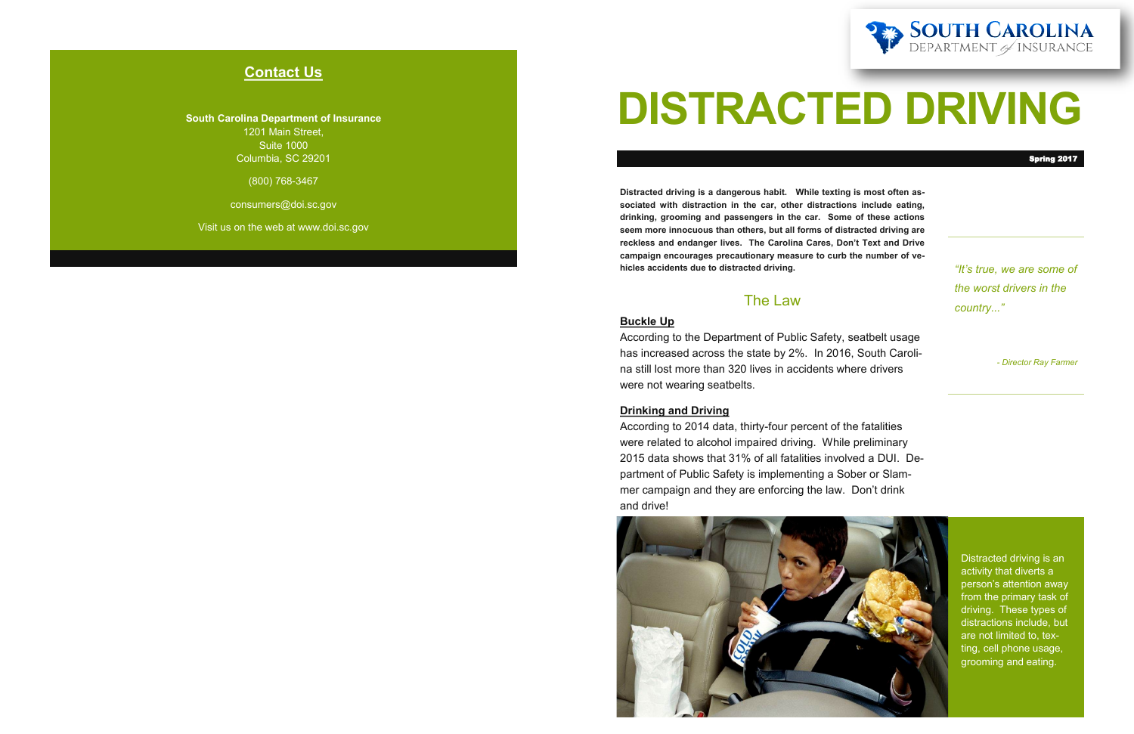## **Contact Us**

**South Carolina Department of Insurance** 1201 Main Street, Suite 1000 Columbia, SC 29201

(800) 768-3467

consumers@doi.sc.gov

Visit us on the web at www.doi.sc.gov

# **DISTRACTED DRIVING**

*"It's true, we are some of the worst drivers in the country..."*

*- Director Ray Farmer*

Distracted driving is an activity that diverts a person's attention away from the primary task of driving. These types of distractions include, but are not limited to, texting, cell phone usage, grooming and eating.

**Distracted driving is a dangerous habit. While texting is most often associated with distraction in the car, other distractions include eating, drinking, grooming and passengers in the car. Some of these actions seem more innocuous than others, but all forms of distracted driving are reckless and endanger lives. The Carolina Cares, Don't Text and Drive campaign encourages precautionary measure to curb the number of vehicles accidents due to distracted driving.** 

### The Law

#### **Buckle Up**

According to the Department of Public Safety, seatbelt usage has increased across the state by 2%. In 2016, South Carolina still lost more than 320 lives in accidents where drivers were not wearing seatbelts.

#### **Drinking and Driving**

According to 2014 data, thirty-four percent of the fatalities were related to alcohol impaired driving. While preliminary 2015 data shows that 31% of all fatalities involved a DUI. Department of Public Safety is implementing a Sober or Slammer campaign and they are enforcing the law. Don't drink and drive!





#### Spring 2017